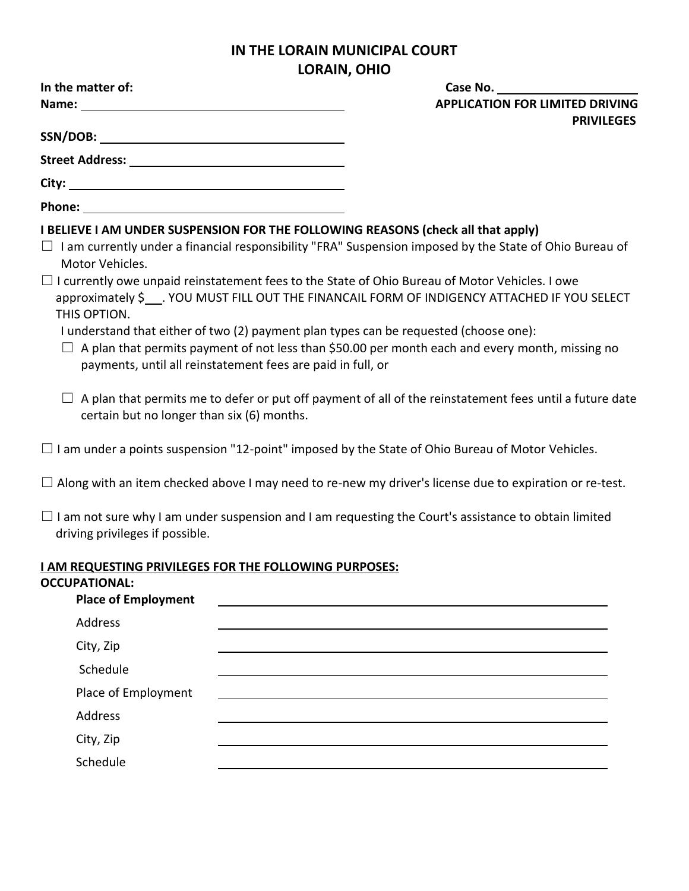## **IN THE LORAIN MUNICIPAL COURT LORAIN, OHIO**

| In the matter of:                                                                                                                                                                                                              |  | Case No.                                                                                                                                                                                                                                                                                                                                                                                                  |  |
|--------------------------------------------------------------------------------------------------------------------------------------------------------------------------------------------------------------------------------|--|-----------------------------------------------------------------------------------------------------------------------------------------------------------------------------------------------------------------------------------------------------------------------------------------------------------------------------------------------------------------------------------------------------------|--|
|                                                                                                                                                                                                                                |  | <b>APPLICATION FOR LIMITED DRIVING</b>                                                                                                                                                                                                                                                                                                                                                                    |  |
|                                                                                                                                                                                                                                |  | <b>PRIVILEGES</b>                                                                                                                                                                                                                                                                                                                                                                                         |  |
| Street Address: No. 1996. The Street Address: No. 1997. The Street Address: No. 1997. The Street Address: No. 1997. The Street Address: No. 1997. The Street Address: No. 1997. The Street Address: No. 1997. The Street Addre |  |                                                                                                                                                                                                                                                                                                                                                                                                           |  |
|                                                                                                                                                                                                                                |  |                                                                                                                                                                                                                                                                                                                                                                                                           |  |
|                                                                                                                                                                                                                                |  |                                                                                                                                                                                                                                                                                                                                                                                                           |  |
|                                                                                                                                                                                                                                |  | I BELIEVE I AM UNDER SUSPENSION FOR THE FOLLOWING REASONS (check all that apply)                                                                                                                                                                                                                                                                                                                          |  |
| Motor Vehicles.                                                                                                                                                                                                                |  | $\Box$ I am currently under a financial responsibility "FRA" Suspension imposed by the State of Ohio Bureau of                                                                                                                                                                                                                                                                                            |  |
| THIS OPTION.<br>payments, until all reinstatement fees are paid in full, or                                                                                                                                                    |  | $\Box$ I currently owe unpaid reinstatement fees to the State of Ohio Bureau of Motor Vehicles. I owe<br>approximately \$___. YOU MUST FILL OUT THE FINANCAIL FORM OF INDIGENCY ATTACHED IF YOU SELECT<br>I understand that either of two (2) payment plan types can be requested (choose one):<br>$\Box$ A plan that permits payment of not less than \$50.00 per month each and every month, missing no |  |
| certain but no longer than six (6) months.                                                                                                                                                                                     |  | A plan that permits me to defer or put off payment of all of the reinstatement fees until a future date                                                                                                                                                                                                                                                                                                   |  |
|                                                                                                                                                                                                                                |  | $\Box$ I am under a points suspension "12-point" imposed by the State of Ohio Bureau of Motor Vehicles.                                                                                                                                                                                                                                                                                                   |  |
|                                                                                                                                                                                                                                |  | $\Box$ Along with an item checked above I may need to re-new my driver's license due to expiration or re-test.                                                                                                                                                                                                                                                                                            |  |
| driving privileges if possible.                                                                                                                                                                                                |  | $\Box$ I am not sure why I am under suspension and I am requesting the Court's assistance to obtain limited                                                                                                                                                                                                                                                                                               |  |
| I AM REQUESTING PRIVILEGES FOR THE FOLLOWING PURPOSES:                                                                                                                                                                         |  |                                                                                                                                                                                                                                                                                                                                                                                                           |  |
| <b>OCCUPATIONAL:</b>                                                                                                                                                                                                           |  |                                                                                                                                                                                                                                                                                                                                                                                                           |  |
| <b>Place of Employment</b>                                                                                                                                                                                                     |  |                                                                                                                                                                                                                                                                                                                                                                                                           |  |
| Address                                                                                                                                                                                                                        |  |                                                                                                                                                                                                                                                                                                                                                                                                           |  |
| City, Zip                                                                                                                                                                                                                      |  |                                                                                                                                                                                                                                                                                                                                                                                                           |  |
| Schedule                                                                                                                                                                                                                       |  |                                                                                                                                                                                                                                                                                                                                                                                                           |  |
| Place of Employment                                                                                                                                                                                                            |  |                                                                                                                                                                                                                                                                                                                                                                                                           |  |
| Address                                                                                                                                                                                                                        |  |                                                                                                                                                                                                                                                                                                                                                                                                           |  |
| City, Zip                                                                                                                                                                                                                      |  |                                                                                                                                                                                                                                                                                                                                                                                                           |  |
| Schedule                                                                                                                                                                                                                       |  |                                                                                                                                                                                                                                                                                                                                                                                                           |  |